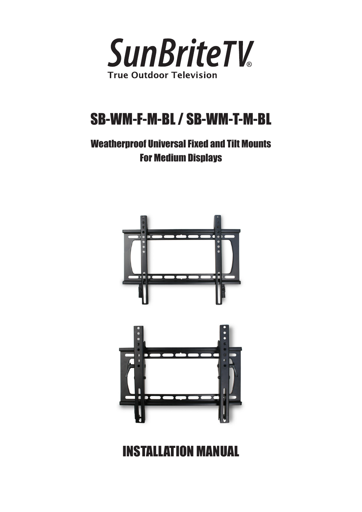

# SB-WM-F-M-BL / SB-WM-T-M-BL

# Weatherproof Universal Fixed and Tilt Mounts For Medium Displays



# INSTALLATION MANUAL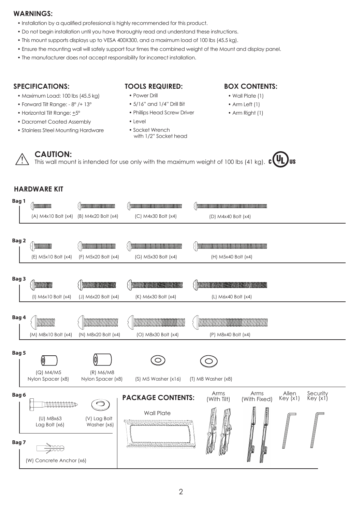#### **WARNINGS:**

- Installation by a qualified professional is highly recommended for this product.
- Do not begin installation until you have thoroughly read and understand these instructions.
- This mount supports displays up to VESA 400X300, and a maximum load of 100 lbs (45.5 kg).
- Ensure the mounting wall will safely support four times the combined weight of the Mount and display panel.
- The manufacturer does not accept responsibility for incorrect installation.

#### **SPECIFICATIONS:**

- Maximum Load: 100 lbs (45.5 kg)
- Forward Tilt Range: 8° /+ 13°
- Horizontal Tilt Range: +5°
- Dacromet Coated Assembly
- Stainless Steel Mounting Hardware

#### **TOOLS REQUIRED:**

- Power Drill
- 5/16" and 1/4" Drill Bit
- Phillips Head Screw Driver
- Level
- Socket Wrench with 1/2" Socket head

#### **BOX CONTENTS:**

- Wall Plate (1)
- Arm Left (1)
- Arm Right (1)

**CAUTION:** This wall mount is intended for use only with the maximum weight of 100 lbs (41 kg).  $\mathbf{c}$  ( $\mathbf{U}$ 

#### **HARDWARE KIT**

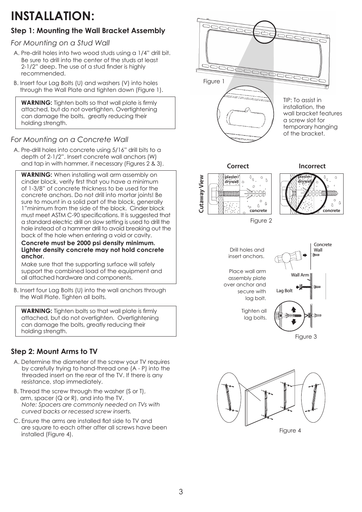# **INSTALLATION:**

# **Step 1: Mounting the Wall Bracket Assembly**

### *For Mounting on a Stud Wall*

- A. Pre-drill holes into two wood studs using a 1/4" drill bit. Be sure to drill into the center of the studs at least 2-1/2" deep. The use of a stud finder is highly recommended.
- B. Insert four Lag Bolts (U) and washers (V) into holes through the Wall Plate and tighten down (Figure 1).

**WARNING:** Tighten bolts so that wall plate is firmly attached, but do not overtighten. Overtightening can damage the bolts, greatly reducing their holding strength.

## *For Mounting on a Concrete Wall*

A. Pre-drill holes into concrete using 5/16" drill bits to a depth of 2-1/2". Insert concrete wall anchors (W) and tap in with hammer, if necessary (Figures 2 & 3).

**WARNING:** When installing wall arm assembly on cinder block, verify first that you have a minimum of 1-3/8" of concrete thickness to be used for the concrete anchors. Do not drill into mortar joints! Be sure to mount in a solid part of the block, generally 1"minimum from the side of the block. Cinder block must meet ASTM C-90 specifications. It is suggested that a standard electric drill on slow setting is used to drill the hole instead of a hammer drill to avoid breaking out the back of the hole when entering a void or cavity.

#### **Concrete must be 2000 psi density minimum. Lighter density concrete may not hold concrete anchor.**

Make sure that the supporting surface will safely support the combined load of the equipment and all attached hardware and components.

B. Insert four Lag Bolts (U) into the wall anchors through the Wall Plate. Tighten all bolts.

**WARNING:** Tighten bolts so that wall plate is firmly attached, but do not overtighten. Overtightening can damage the bolts, greatly reducing their holding strength.

# **Step 2: Mount Arms to TV**

- A. Determine the diameter of the screw your TV requires by carefully trying to hand-thread one (A - P) into the threaded insert on the rear of the TV. If there is any resistance, stop immediately.
- B. Thread the screw through the washer (S or T), arm, spacer (Q or R), and into the TV. *Note: Spacers are commonly needed on TVs with curved backs or recessed screw inserts.*
- C. Ensure the arms are installed flat side to TV and are square to each other after all screws have been installed (Figure 4).